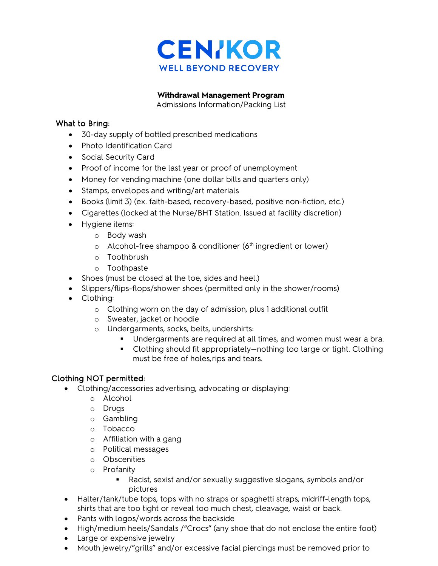

**Withdrawal Management Program**

Admissions Information/Packing List

## What to Bring:

- 30-day supply of bottled prescribed medications
- Photo Identification Card
- Social Security Card
- Proof of income for the last year or proof of unemployment
- Money for vending machine (one dollar bills and quarters only)
- Stamps, envelopes and writing/art materials
- Books (limit 3) (ex. faith-based, recovery-based, positive non-fiction, etc.)
- Cigarettes (locked at the Nurse/BHT Station. Issued at facility discretion)
- Hygiene items:
	- o Body wash
	- $\circ$  Alcohol-free shampoo & conditioner (6<sup>th</sup> ingredient or lower)
	- o Toothbrush
	- o Toothpaste
- Shoes (must be closed at the toe, sides and heel.)
- Slippers/flips-flops/shower shoes (permitted only in the shower/rooms)
- Clothing:
	- o Clothing worn on the day of admission, plus 1 additional outfit
	- o Sweater, jacket or hoodie
	- o Undergarments, socks, belts, undershirts:
		- Undergarments are required at all times, and women must wear a bra.
		- Clothing should fit appropriately—nothing too large or tight. Clothing must be free of holes,rips and tears.

# Clothing NOT permitted:

- Clothing/accessories advertising, advocating or displaying:
	- o Alcohol
	- o Drugs
	- o Gambling
	- o Tobacco
	- o Affiliation with a gang
	- o Political messages
	- o Obscenities
	- o Profanity
		- Racist, sexist and/or sexually suggestive slogans, symbols and/or pictures
- Halter/tank/tube tops, tops with no straps or spaghetti straps, midriff-length tops, shirts that are too tight or reveal too much chest, cleavage, waist or back.
- Pants with logos/words across the backside
- High/medium heels/Sandals /"Crocs" (any shoe that do not enclose the entire foot)
- Large or expensive jewelry
- Mouth jewelry/"grills" and/or excessive facial piercings must be removed prior to